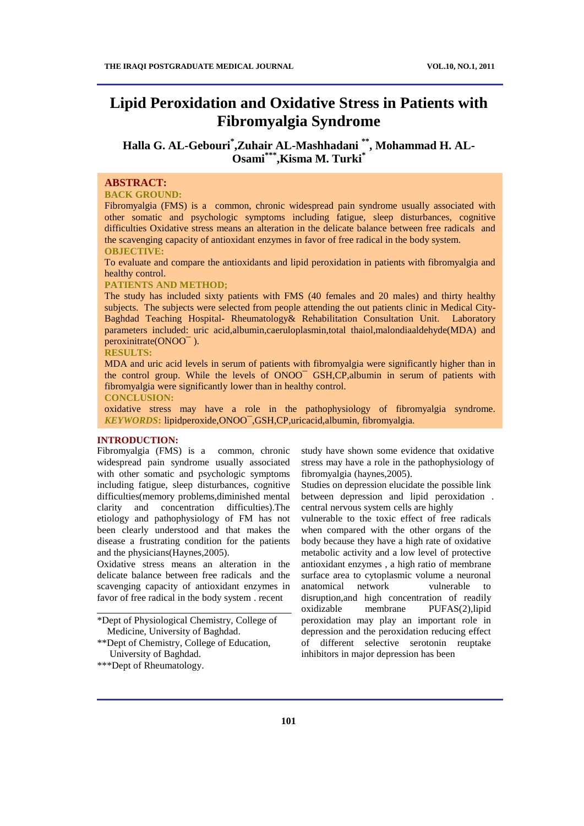# **Lipid Peroxidation and Oxidative Stress in Patients with Fibromyalgia Syndrome**

# Halla G. AL-Gebouri<sup>\*</sup>,Zuhair AL-Mashhadani \*\*, Mohammad H. AL-**Osami\*\*\* ,Kisma M. Turki\***

# **ABSTRACT:**

#### **BACK GROUND:**

Fibromyalgia (FMS) is a common, chronic widespread pain syndrome usually associated with other somatic and psychologic symptoms including fatigue, sleep disturbances, cognitive difficulties Oxidative stress means an alteration in the delicate balance between free radicals and the scavenging capacity of antioxidant enzymes in favor of free radical in the body system. **OBJECTIVE:**

To evaluate and compare the antioxidants and lipid peroxidation in patients with fibromyalgia and healthy control.

#### **PATIENTS AND METHOD;**

The study has included sixty patients with FMS (40 females and 20 males) and thirty healthy subjects. The subjects were selected from people attending the out patients clinic in Medical City-Baghdad Teaching Hospital- Rheumatology& Rehabilitation Consultation Unit. Laboratory parameters included: uric acid,albumin,caeruloplasmin,total thaiol,malondiaaldehyde(MDA) and peroxinitrate(ONOO¯ ).

#### **RESULTS:**

MDA and uric acid levels in serum of patients with fibromyalgia were significantly higher than in the control group. While the levels of ONOO¯ GSH,CP,albumin in serum of patients with fibromyalgia were significantly lower than in healthy control.

#### **CONCLUSION:**

oxidative stress may have a role in the pathophysiology of fibromyalgia syndrome. *KEYWORDS***:** lipidperoxide,ONOO¯,GSH,CP,uricacid,albumin, fibromyalgia.

#### **INTRODUCTION:**

Fibromyalgia (FMS) is a common, chronic widespread pain syndrome usually associated with other somatic and psychologic symptoms including fatigue, sleep disturbances, cognitive difficulties(memory problems,diminished mental clarity and concentration difficulties).The etiology and pathophysiology of FM has not been clearly understood and that makes the disease a frustrating condition for the patients and the physicians(Haynes,2005).

Oxidative stress means an alteration in the delicate balance between free radicals and the scavenging capacity of antioxidant enzymes in favor of free radical in the body system . recent

\*\*\*Dept of Rheumatology.

study have shown some evidence that oxidative stress may have a role in the pathophysiology of fibromyalgia (haynes,2005).

Studies on depression elucidate the possible link between depression and lipid peroxidation . central nervous system cells are highly

vulnerable to the toxic effect of free radicals when compared with the other organs of the body because they have a high rate of oxidative metabolic activity and a low level of protective antioxidant enzymes , a high ratio of membrane surface area to cytoplasmic volume a neuronal anatomical network vulnerable to disruption,and high concentration of readily oxidizable membrane PUFAS(2),lipid peroxidation may play an important role in depression and the peroxidation reducing effect of different selective serotonin reuptake inhibitors in major depression has been

<sup>\*</sup>Dept of Physiological Chemistry, College of Medicine, University of Baghdad.

<sup>\*\*</sup>Dept of Chemistry, College of Education, University of Baghdad.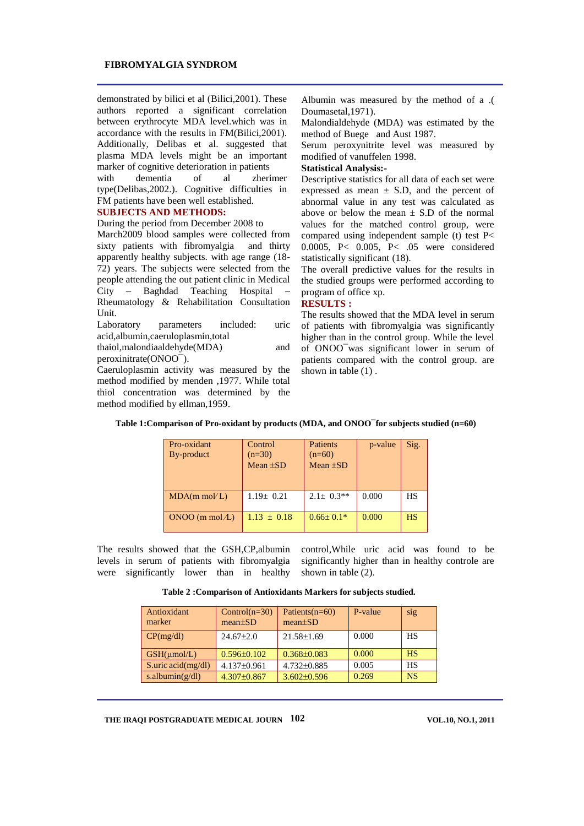demonstrated by bilici et al (Bilici,2001). These authors reported a significant correlation between erythrocyte MDA level.which was in accordance with the results in FM(Bilici,2001). Additionally, Delibas et al. suggested that plasma MDA levels might be an important marker of cognitive deterioration in patients

with dementia of al zherimer type(Delibas,2002.). Cognitive difficulties in FM patients have been well established.

#### **SUBJECTS AND METHODS:**

During the period from December 2008 to

March2009 blood samples were collected from sixty patients with fibromyalgia and thirty apparently healthy subjects. with age range (18- 72) years. The subjects were selected from the people attending the out patient clinic in Medical City – Baghdad Teaching Hospital – Rheumatology & Rehabilitation Consultation Unit.

Laboratory parameters included: uric acid,albumin,caeruloplasmin,total

thaiol,malondiaaldehyde(MDA) and peroxinitrate(ONOO¯).

Caeruloplasmin activity was measured by the method modified by menden ,1977. While total thiol concentration was determined by the method modified by ellman,1959.

Albumin was measured by the method of a .( Doumasetal,1971).

Malondialdehyde (MDA) was estimated by the method of Buege and Aust 1987.

Serum peroxynitrite level was measured by modified of vanuffelen 1998.

# **Statistical Analysis:-**

Descriptive statistics for all data of each set were expressed as mean  $\pm$  S.D, and the percent of abnormal value in any test was calculated as above or below the mean  $\pm$  S.D of the normal values for the matched control group, were compared using independent sample (t) test P< 0.0005, P< 0.005, P< .05 were considered statistically significant (18).

The overall predictive values for the results in the studied groups were performed according to program of office xp.

# **RESULTS :**

The results showed that the MDA level in serum of patients with fibromyalgia was significantly higher than in the control group. While the level of ONOO¯was significant lower in serum of patients compared with the control group. are shown in table (1) .

| Pro-oxidant               | Control         | <b>Patients</b> | p-value | Sig.      |
|---------------------------|-----------------|-----------------|---------|-----------|
| By-product                | $(n=30)$        | $(n=60)$        |         |           |
|                           | Mean $\pm SD$   | Mean $\pm SD$   |         |           |
|                           |                 |                 |         |           |
|                           |                 |                 |         |           |
| $MDA(m \text{ mol/L})$    | $1.19+0.21$     | $2.1 + 0.3**$   | 0.000   | <b>HS</b> |
|                           |                 |                 |         |           |
| $ONOO$ (m mol $\Lambda$ ) | $1.13 \pm 0.18$ | $0.66 \pm 0.1*$ | 0.000   | <b>HS</b> |
|                           |                 |                 |         |           |

**Table 1:Comparison of Pro-oxidant by products (MDA, and ONOO¯for subjects studied (n=60)**

The results showed that the GSH,CP,albumin levels in serum of patients with fibromyalgia were significantly lower than in healthy

control,While uric acid was found to be significantly higher than in healthy controle are shown in table (2).

| Table 2: Comparison of Antioxidants Markers for subjects studied. |  |  |  |  |  |  |  |  |  |  |
|-------------------------------------------------------------------|--|--|--|--|--|--|--|--|--|--|
|-------------------------------------------------------------------|--|--|--|--|--|--|--|--|--|--|

| Antioxidant<br>marker       | $Control(n=30)$<br>$mean \pm SD$ | Patients $(n=60)$<br>$mean \pm SD$ | P-value | sig       |
|-----------------------------|----------------------------------|------------------------------------|---------|-----------|
| CP(mg/dl)                   | $24.67 \pm 2.0$                  | $21.58 \pm 1.69$                   | 0.000   | HS        |
| GSH(numol/L)                | $0.596 \pm 0.102$                | $0.368 \pm 0.083$                  | 0.000   | <b>HS</b> |
| S.uric $\text{acid}(mg/dl)$ | $4.137\pm0.961$                  | 4.732±0.885                        | 0.005   | HS        |
| s.albumin $(g/dl)$          | $4.307 \pm 0.867$                | $3.602 \pm 0.596$                  | 0.269   | <b>NS</b> |

**THE IRAQI POSTGRADUATE MEDICAL JOURNAL VOL.10, NO.1, 2011 102**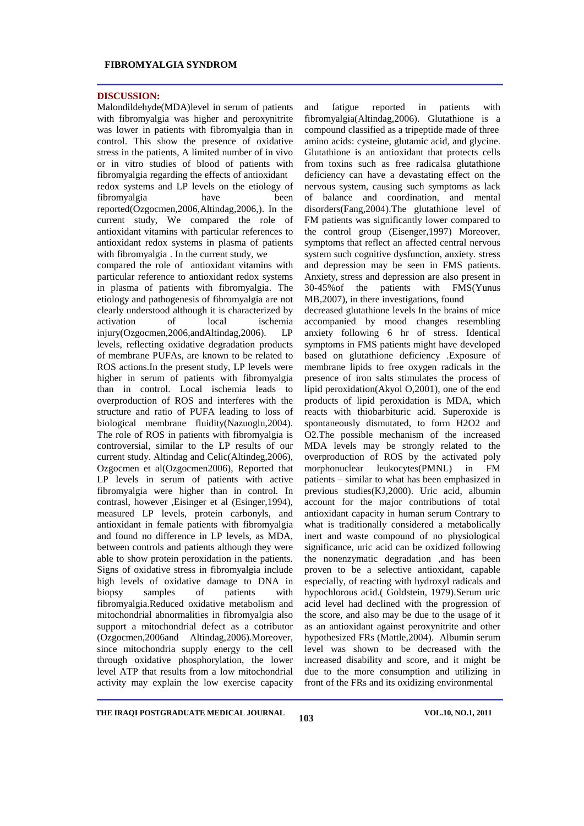#### **DISCUSSION:**

Malondildehyde(MDA)level in serum of patients with fibromyalgia was higher and peroxynitrite was lower in patients with fibromyalgia than in control. This show the presence of oxidative stress in the patients, A limited number of in vivo or in vitro studies of blood of patients with fibromyalgia regarding the effects of antioxidant redox systems and LP levels on the etiology of fibromyalgia have been reported(Ozgocmen,2006,Altindag,2006,). In the current study, We compared the role of antioxidant vitamins with particular references to antioxidant redox systems in plasma of patients with fibromyalgia . In the current study, we

compared the role of antioxidant vitamins with particular reference to antioxidant redox systems in plasma of patients with fibromyalgia. The etiology and pathogenesis of fibromyalgia are not clearly understood although it is characterized by activation of local ischemia injury(Ozgocmen,2006,andAltindag,2006). LP levels, reflecting oxidative degradation products of membrane PUFAs, are known to be related to ROS actions.In the present study, LP levels were higher in serum of patients with fibromyalgia than in control. Local ischemia leads to overproduction of ROS and interferes with the structure and ratio of PUFA leading to loss of biological membrane fluidity(Nazuoglu,2004). The role of ROS in patients with fibromyalgia is controversial, similar to the LP results of our current study. Altindag and Celic(Altindeg,2006), Ozgocmen et al(Ozgocmen2006), Reported that LP levels in serum of patients with active fibromyalgia were higher than in control. In contrasl, however ,Eisinger et al (Esinger,1994), measured LP levels, protein carbonyls, and antioxidant in female patients with fibromyalgia and found no difference in LP levels, as MDA, between controls and patients although they were able to show protein peroxidation in the patients. Signs of oxidative stress in fibromyalgia include high levels of oxidative damage to DNA in biopsy samples of patients with fibromyalgia.Reduced oxidative metabolism and mitochondrial abnormalities in fibromyalgia also support a mitochondrial defect as a cotributor (Ozgocmen,2006and Altindag,2006).Moreover, since mitochondria supply energy to the cell through oxidative phosphorylation, the lower level ATP that results from a low mitochondrial activity may explain the low exercise capacity

and fatigue reported in patients with fibromyalgia(Altindag,2006). Glutathione is a compound classified as a tripeptide made of three amino acids: cysteine, glutamic acid, and glycine. Glutathione is an antioxidant that protects cells from toxins such as free radicalsa glutathione deficiency can have a devastating effect on the nervous system, causing such symptoms as lack of balance and coordination, and mental disorders(Fang,2004).The glutathione level of FM patients was significantly lower compared to the control group (Eisenger,1997) Moreover, symptoms that reflect an affected central nervous system such cognitive dysfunction, anxiety. stress and depression may be seen in FMS patients. Anxiety, stress and depression are also present in 30-45%of the patients with FMS(Yunus MB,2007), in there investigations, found decreased glutathione levels In the brains of mice accompanied by mood changes resembling anxiety following 6 hr of stress. Identical symptoms in FMS patients might have developed based on glutathione deficiency .Exposure of membrane lipids to free oxygen radicals in the presence of iron salts stimulates the process of lipid peroxidation(Akyol O,2001), one of the end products of lipid peroxidation is MDA, which reacts with thiobarbituric acid. Superoxide is spontaneously dismutated, to form H2O2 and O2.The possible mechanism of the increased MDA levels may be strongly related to the overproduction of ROS by the activated poly morphonuclear leukocytes(PMNL) in FM patients – similar to what has been emphasized in previous studies(KJ,2000). Uric acid, albumin account for the major contributions of total antioxidant capacity in human serum Contrary to what is traditionally considered a metabolically inert and waste compound of no physiological significance, uric acid can be oxidized following the nonenzymatic degradation ,and has been proven to be a selective antioxidant, capable especially, of reacting with hydroxyl radicals and hypochlorous acid.( Goldstein, 1979).Serum uric acid level had declined with the progression of the score, and also may be due to the usage of it as an antioxidant against peroxynitrite and other hypothesized FRs (Mattle,2004). Albumin serum level was shown to be decreased with the increased disability and score, and it might be due to the more consumption and utilizing in front of the FRs and its oxidizing environmental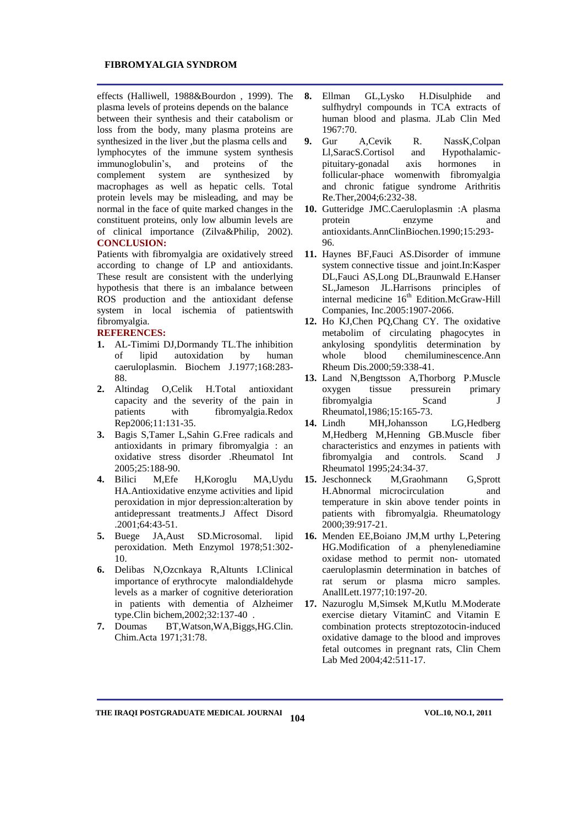effects (Halliwell, 1988&Bourdon , 1999). The plasma levels of proteins depends on the balance between their synthesis and their catabolism or loss from the body, many plasma proteins are synthesized in the liver ,but the plasma cells and lymphocytes of the immune system synthesis immunoglobulin's, and proteins of the complement system are synthesized by macrophages as well as hepatic cells. Total protein levels may be misleading, and may be normal in the face of quite marked changes in the constituent proteins, only low albumin levels are of clinical importance (Zilva&Philip, 2002). **CONCLUSION:**

Patients with fibromyalgia are oxidatively streed according to change of LP and antioxidants. These result are consistent with the underlying hypothesis that there is an imbalance between ROS production and the antioxidant defense system in local ischemia of patientswith fibromyalgia.

# **REFERENCES:**

- **1.** AL-Timimi DJ,Dormandy TL.The inhibition of lipid autoxidation by human caeruloplasmin. Biochem J.1977;168:283- 88.
- **2.** Altindag O,Celik H.Total antioxidant capacity and the severity of the pain in patients with fibromyalgia.Redox Rep2006;11:131-35.
- **3.** Bagis S,Tamer L,Sahin G.Free radicals and antioxidants in primary fibromyalgia : an oxidative stress disorder .Rheumatol Int 2005;25:188-90.
- **4.** Bilici M,Efe H,Koroglu MA,Uydu HA.Antioxidative enzyme activities and lipid peroxidation in mjor depression:alteration by antidepressant treatments.J Affect Disord .2001;64:43-51.
- **5.** Buege JA,Aust SD.Microsomal. lipid peroxidation. Meth Enzymol 1978;51:302- 10.
- **6.** Delibas N,Ozcnkaya R,Altunts I.Clinical importance of erythrocyte malondialdehyde levels as a marker of cognitive deterioration in patients with dementia of Alzheimer type.Clin bichem,2002;32:137-40 .
- **7.** Doumas BT,Watson,WA,Biggs,HG.Clin. Chim.Acta 1971;31:78.
- **8.** Ellman GL,Lysko H.Disulphide and sulfhydryl compounds in TCA extracts of human blood and plasma. JLab Clin Med 1967:70.
- **9.** Gur A,Cevik R. NassK,Colpan Ll,SaracS.Cortisol and Hypothalamicpituitary-gonadal axis hormones in follicular-phace womenwith fibromyalgia and chronic fatigue syndrome Arithritis Re.Ther,2004;6:232-38.
- **10.** Gutteridge JMC.Caeruloplasmin :A plasma protein enzyme and antioxidants.AnnClinBiochen.1990;15:293- 96.
- **11.** Haynes BF,Fauci AS.Disorder of immune system connective tissue and joint.In:Kasper DL,Fauci AS,Long DL,Braunwald E.Hanser SL,Jameson JL.Harrisons principles of internal medicine 16<sup>th</sup> Edition.McGraw-Hill Companies, Inc.2005:1907-2066.
- **12.** Ho KJ,Chen PQ,Chang CY. The oxidative metabolim of circulating phagocytes in ankylosing spondylitis determination by whole blood chemiluminescence.Ann Rheum Dis.2000;59:338-41.
- **13.** Land N,Bengtsson A,Thorborg P.Muscle oxygen tissue pressurein primary fibromyalgia Scand J Rheumatol,1986;15:165-73.
- **14.** Lindh MH,Johansson LG,Hedberg M,Hedberg M,Henning GB.Muscle fiber characteristics and enzymes in patients with fibromyalgia and controls. Scand J Rheumatol 1995;24:34-37.
- **15.** Jeschonneck M,Graohmann G,Sprott H.Abnormal microcirculation and temperature in skin above tender points in patients with fibromyalgia. Rheumatology 2000;39:917-21.
- **16.** Menden EE,Boiano JM,M urthy L,Petering HG.Modification of a phenylenediamine oxidase method to permit non- utomated caeruloplasmin determination in batches of rat serum or plasma micro samples. AnallLett.1977;10:197-20.
- **17.** Nazuroglu M,Simsek M,Kutlu M.Moderate exercise dietary VitaminC and Vitamin E combination protects streptozotocin-induced oxidative damage to the blood and improves fetal outcomes in pregnant rats, Clin Chem Lab Med 2004;42:511-17.